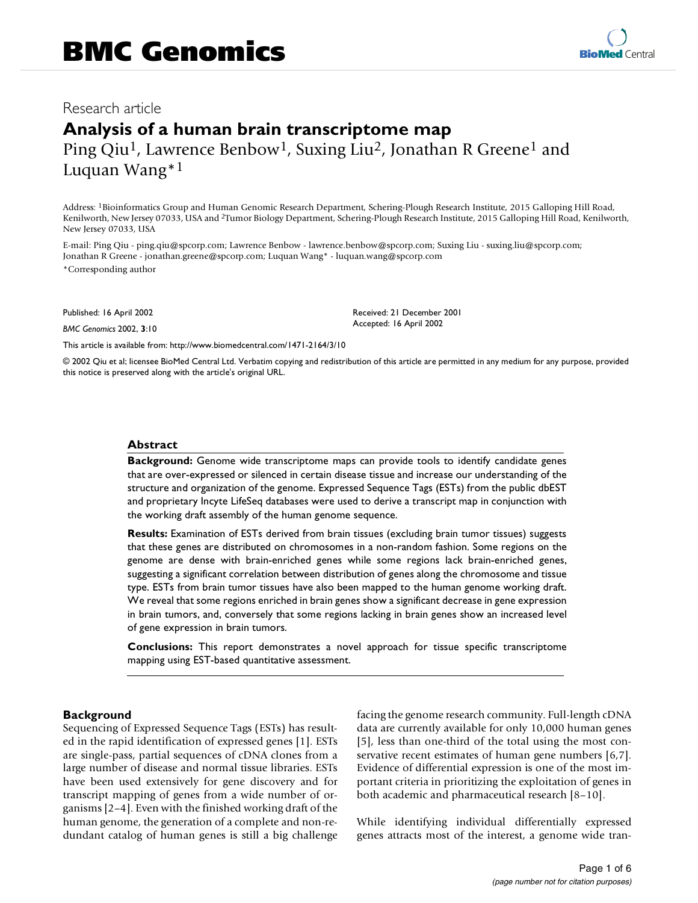# Research article

**Analysis of a human brain transcriptome map** Ping Qiu<sup>1</sup>, Lawrence Benbow<sup>1</sup>, Suxing Liu<sup>2</sup>, Jonathan R Greene<sup>1</sup> and

Luquan Wang\*1

Address: 1Bioinformatics Group and Human Genomic Research Department, Schering-Plough Research Institute, 2015 Galloping Hill Road, Kenilworth, New Jersey 07033, USA and 2Tumor Biology Department, Schering-Plough Research Institute, 2015 Galloping Hill Road, Kenilworth, New Jersey 07033, USA

E-mail: Ping Qiu - ping.qiu@spcorp.com; Lawrence Benbow - lawrence.benbow@spcorp.com; Suxing Liu - suxing.liu@spcorp.com; Jonathan R Greene - jonathan.greene@spcorp.com; Luquan Wang\* - luquan.wang@spcorp.com \*Corresponding author

Published: 16 April 2002

*BMC Genomics* 2002, **3**:10

Received: 21 December 2001 Accepted: 16 April 2002

[This article is available from: http://www.biomedcentral.com/1471-2164/3/10](http://www.biomedcentral.com/1471-2164/3/10)

© 2002 Qiu et al; licensee BioMed Central Ltd. Verbatim copying and redistribution of this article are permitted in any medium for any purpose, provided this notice is preserved along with the article's original URL.

#### **Abstract**

**Background:** Genome wide transcriptome maps can provide tools to identify candidate genes that are over-expressed or silenced in certain disease tissue and increase our understanding of the structure and organization of the genome. Expressed Sequence Tags (ESTs) from the public dbEST and proprietary Incyte LifeSeq databases were used to derive a transcript map in conjunction with the working draft assembly of the human genome sequence.

**Results:** Examination of ESTs derived from brain tissues (excluding brain tumor tissues) suggests that these genes are distributed on chromosomes in a non-random fashion. Some regions on the genome are dense with brain-enriched genes while some regions lack brain-enriched genes, suggesting a significant correlation between distribution of genes along the chromosome and tissue type. ESTs from brain tumor tissues have also been mapped to the human genome working draft. We reveal that some regions enriched in brain genes show a significant decrease in gene expression in brain tumors, and, conversely that some regions lacking in brain genes show an increased level of gene expression in brain tumors.

**Conclusions:** This report demonstrates a novel approach for tissue specific transcriptome mapping using EST-based quantitative assessment.

## **Background**

Sequencing of Expressed Sequence Tags (ESTs) has resulted in the rapid identification of expressed genes [1]. ESTs are single-pass, partial sequences of cDNA clones from a large number of disease and normal tissue libraries. ESTs have been used extensively for gene discovery and for transcript mapping of genes from a wide number of organisms [2–4]. Even with the finished working draft of the human genome, the generation of a complete and non-redundant catalog of human genes is still a big challenge facing the genome research community. Full-length cDNA data are currently available for only 10,000 human genes [5], less than one-third of the total using the most conservative recent estimates of human gene numbers [6,7]. Evidence of differential expression is one of the most important criteria in prioritizing the exploitation of genes in both academic and pharmaceutical research [8–10].

While identifying individual differentially expressed genes attracts most of the interest, a genome wide tran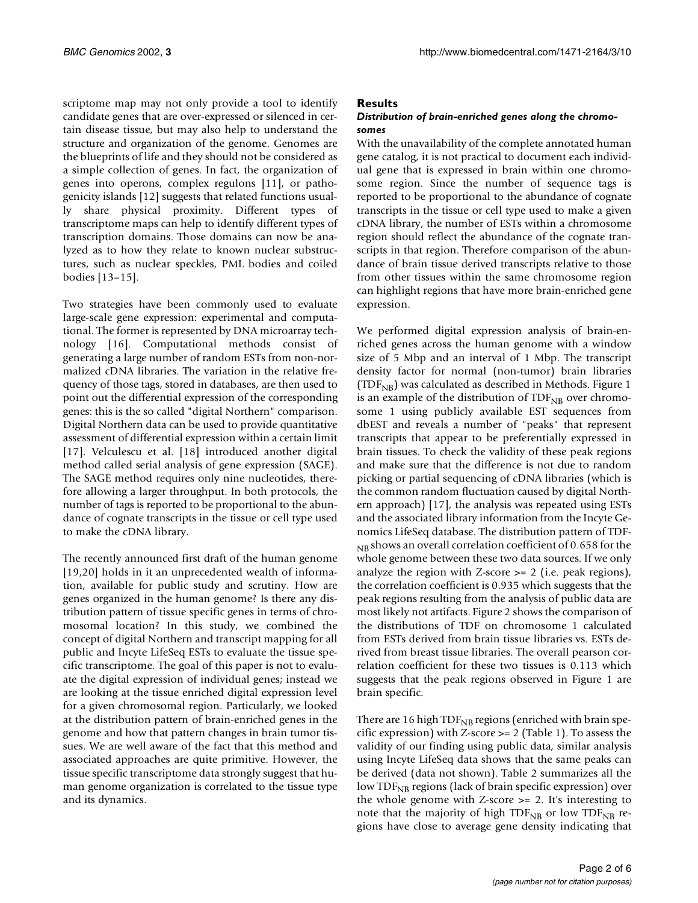scriptome map may not only provide a tool to identify candidate genes that are over-expressed or silenced in certain disease tissue, but may also help to understand the structure and organization of the genome. Genomes are the blueprints of life and they should not be considered as a simple collection of genes. In fact, the organization of genes into operons, complex regulons [11], or pathogenicity islands [12] suggests that related functions usually share physical proximity. Different types of transcriptome maps can help to identify different types of transcription domains. Those domains can now be analyzed as to how they relate to known nuclear substructures, such as nuclear speckles, PML bodies and coiled bodies [13–15].

Two strategies have been commonly used to evaluate large-scale gene expression: experimental and computational. The former is represented by DNA microarray technology [16]. Computational methods consist of generating a large number of random ESTs from non-normalized cDNA libraries. The variation in the relative frequency of those tags, stored in databases, are then used to point out the differential expression of the corresponding genes: this is the so called "digital Northern" comparison. Digital Northern data can be used to provide quantitative assessment of differential expression within a certain limit [17]. Velculescu et al. [18] introduced another digital method called serial analysis of gene expression (SAGE). The SAGE method requires only nine nucleotides, therefore allowing a larger throughput. In both protocols, the number of tags is reported to be proportional to the abundance of cognate transcripts in the tissue or cell type used to make the cDNA library.

The recently announced first draft of the human genome [19,20] holds in it an unprecedented wealth of information, available for public study and scrutiny. How are genes organized in the human genome? Is there any distribution pattern of tissue specific genes in terms of chromosomal location? In this study, we combined the concept of digital Northern and transcript mapping for all public and Incyte LifeSeq ESTs to evaluate the tissue specific transcriptome. The goal of this paper is not to evaluate the digital expression of individual genes; instead we are looking at the tissue enriched digital expression level for a given chromosomal region. Particularly, we looked at the distribution pattern of brain-enriched genes in the genome and how that pattern changes in brain tumor tissues. We are well aware of the fact that this method and associated approaches are quite primitive. However, the tissue specific transcriptome data strongly suggest that human genome organization is correlated to the tissue type and its dynamics.

# **Results**

# *Distribution of brain-enriched genes along the chromosomes*

With the unavailability of the complete annotated human gene catalog, it is not practical to document each individual gene that is expressed in brain within one chromosome region. Since the number of sequence tags is reported to be proportional to the abundance of cognate transcripts in the tissue or cell type used to make a given cDNA library, the number of ESTs within a chromosome region should reflect the abundance of the cognate transcripts in that region. Therefore comparison of the abundance of brain tissue derived transcripts relative to those from other tissues within the same chromosome region can highlight regions that have more brain-enriched gene expression.

We performed digital expression analysis of brain-enriched genes across the human genome with a window size of 5 Mbp and an interval of 1 Mbp. The transcript density factor for normal (non-tumor) brain libraries  $(TDF_{NR})$  was calculated as described in Methods. Figure [1](#page-2-0) is an example of the distribution of  $TDF_{NB}$  over chromosome 1 using publicly available EST sequences from dbEST and reveals a number of "peaks" that represent transcripts that appear to be preferentially expressed in brain tissues. To check the validity of these peak regions and make sure that the difference is not due to random picking or partial sequencing of cDNA libraries (which is the common random fluctuation caused by digital Northern approach) [17], the analysis was repeated using ESTs and the associated library information from the Incyte Genomics LifeSeq database. The distribution pattern of TDF- $_{\rm NB}$  shows an overall correlation coefficient of 0.658 for the whole genome between these two data sources. If we only analyze the region with Z-score  $> = 2$  (i.e. peak regions), the correlation coefficient is 0.935 which suggests that the peak regions resulting from the analysis of public data are most likely not artifacts. Figure 2 shows the comparison of the distributions of TDF on chromosome 1 calculated from ESTs derived from brain tissue libraries vs. ESTs derived from breast tissue libraries. The overall pearson correlation coefficient for these two tissues is 0.113 which suggests that the peak regions observed in Figure [1](#page-2-0) are brain specific.

There are 16 high  $TDF_{NB}$  regions (enriched with brain specific expression) with Z-score >= 2 (Table [1](#page-2-1)). To assess the validity of our finding using public data, similar analysis using Incyte LifeSeq data shows that the same peaks can be derived (data not shown). Table [2](#page-2-2) summarizes all the low  $TDF_{NB}$  regions (lack of brain specific expression) over the whole genome with Z-score >= 2. It's interesting to note that the majority of high  $TDF_{NB}$  or low  $TDF_{NB}$  regions have close to average gene density indicating that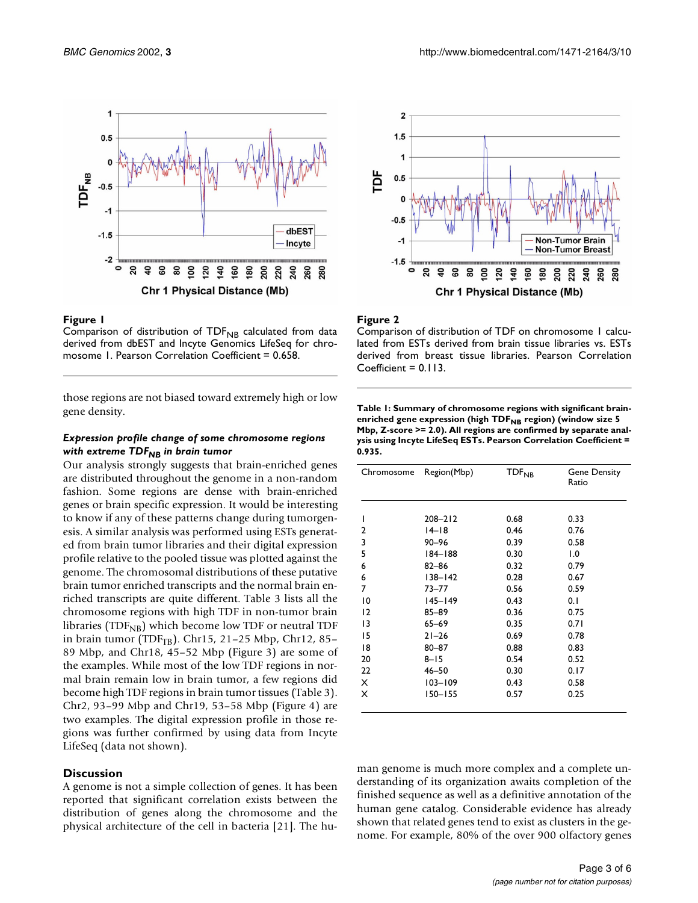

#### <span id="page-2-0"></span>**Figure 1**

Comparison of distribution of  $\text{TDF}_{\text{NB}}$  calculated from data derived from dbEST and Incyte Genomics LifeSeq for chromosome 1. Pearson Correlation Coefficient = 0.658.

those regions are not biased toward extremely high or low gene density.

#### *Expression profile change of some chromosome regions*  with extreme TDF<sub>NB</sub> in brain tumor

<span id="page-2-1"></span>Our analysis strongly suggests that brain-enriched genes are distributed throughout the genome in a non-random fashion. Some regions are dense with brain-enriched genes or brain specific expression. It would be interesting to know if any of these patterns change during tumorgenesis. A similar analysis was performed using ESTs generated from brain tumor libraries and their digital expression profile relative to the pooled tissue was plotted against the genome. The chromosomal distributions of these putative brain tumor enriched transcripts and the normal brain enriched transcripts are quite different. Table [3](#page-3-0) lists all the chromosome regions with high TDF in non-tumor brain libraries (TDF $_{\text{NB}}$ ) which become low TDF or neutral TDF in brain tumor (TDFTB). Chr15, 21-25 Mbp, Chr12, 85-89 Mbp, and Chr18, 45–52 Mbp (Figure 3) are some of the examples. While most of the low TDF regions in normal brain remain low in brain tumor, a few regions did become high TDF regions in brain tumor tissues (Table [3\)](#page-3-0). Chr2, 93–99 Mbp and Chr19, 53–58 Mbp (Figure 4) are two examples. The digital expression profile in those regions was further confirmed by using data from Incyte LifeSeq (data not shown).

#### <span id="page-2-2"></span>**Discussion**

A genome is not a simple collection of genes. It has been reported that significant correlation exists between the distribution of genes along the chromosome and the physical architecture of the cell in bacteria [21]. The hu-



#### **Figure 2**

Comparison of distribution of TDF on chromosome 1 calculated from ESTs derived from brain tissue libraries vs. ESTs derived from breast tissue libraries. Pearson Correlation Coefficient = 0.113.

**Table 1: Summary of chromosome regions with significant brain**enriched gene expression (high TDF<sub>NB</sub> region) (window size 5 **Mbp, Z-score >= 2.0). All regions are confirmed by separate analysis using Incyte LifeSeq ESTs. Pearson Correlation Coefficient = 0.935.**

| Chromosome | Region(Mbp) | <b>TDF<sub>NB</sub></b> | <b>Gene Density</b><br>Ratio |
|------------|-------------|-------------------------|------------------------------|
|            |             |                         |                              |
| ı          | $208 - 212$ | 0.68                    | 0.33                         |
| 2          | $14 - 18$   | 0.46                    | 0.76                         |
| 3          | $90 - 96$   | 0.39                    | 0.58                         |
| 5          | $184 - 188$ | 0.30                    | $\overline{1.0}$             |
| 6          | 82-86       | 0.32                    | 0.79                         |
| 6          | $138 - 142$ | 0.28                    | 0.67                         |
| 7          | 73–77       | 0.56                    | 0.59                         |
| 10         | $145 - 149$ | 0.43                    | 0.1                          |
| 2          | $85 - 89$   | 0.36                    | 0.75                         |
| 13         | 65–69       | 0.35                    | 0.71                         |
| 15         | $21 - 26$   | 0.69                    | 0.78                         |
| 18         | $80 - 87$   | 0.88                    | 0.83                         |
| 20         | $8 - 15$    | 0.54                    | 0.52                         |
| 22         | $46 - 50$   | 0.30                    | 0.17                         |
| X          | $103 - 109$ | 0.43                    | 0.58                         |
| X          | $150 - 155$ | 0.57                    | 0.25                         |

man genome is much more complex and a complete understanding of its organization awaits completion of the finished sequence as well as a definitive annotation of the human gene catalog. Considerable evidence has already shown that related genes tend to exist as clusters in the genome. For example, 80% of the over 900 olfactory genes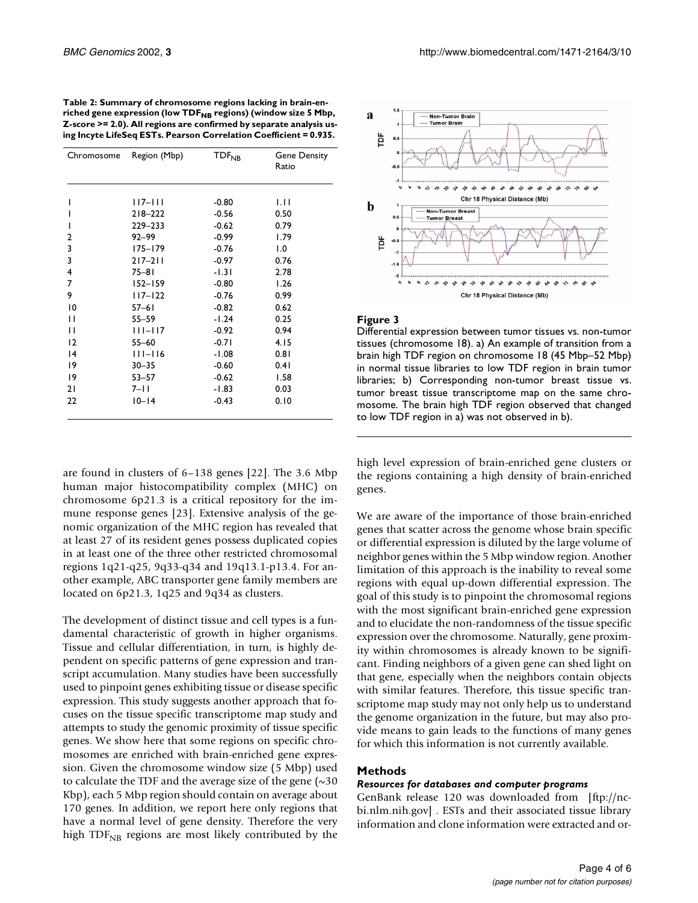| Chromosome | Region (Mbp) | <b>TDF<sub>NB</sub></b> | <b>Gene Density</b><br>Ratio |
|------------|--------------|-------------------------|------------------------------|
|            |              |                         |                              |
|            | $117 - 111$  | $-0.80$                 | 1.11                         |
|            | $218 - 222$  | $-0.56$                 | 0.50                         |
|            | $229 - 233$  | $-0.62$                 | 0.79                         |
| 2          | $92 - 99$    | $-0.99$                 | 1.79                         |
| 3          | $175 - 179$  | $-0.76$                 | $\overline{1.0}$             |
| 3          | $217 - 211$  | $-0.97$                 | 0.76                         |
| 4          | $75 - 81$    | $-1.31$                 | 2.78                         |
| 7          | $152 - 159$  | $-0.80$                 | 1.26                         |
| 9          | $117 - 122$  | $-0.76$                 | 0.99                         |
| 10         | $57 - 61$    | $-0.82$                 | 0.62                         |
| П          | $55 - 59$    | $-1.24$                 | 0.25                         |
| П          | $ 11 - 117$  | $-0.92$                 | 0.94                         |
| 2          | $55 - 60$    | $-0.71$                 | 4.15                         |
| 4          | $111 - 116$  | $-1.08$                 | 0.81                         |
| 19         | $30 - 35$    | $-0.60$                 | 0.41                         |
| 19         | $53 - 57$    | $-0.62$                 | 1.58                         |
| 21         | $7 - 11$     | $-1.83$                 | 0.03                         |
| 22         | $10 - 14$    | $-0.43$                 | 0.10                         |

**Table 2: Summary of chromosome regions lacking in brain-en**riched gene expression (low TDF<sub>NB</sub> regions) (window size 5 Mbp, **Z-score >= 2.0). All regions are confirmed by separate analysis using Incyte LifeSeq ESTs. Pearson Correlation Coefficient = 0.935.**

are found in clusters of 6–138 genes [22]. The 3.6 Mbp human major histocompatibility complex (MHC) on chromosome 6p21.3 is a critical repository for the immune response genes [23]. Extensive analysis of the genomic organization of the MHC region has revealed that at least 27 of its resident genes possess duplicated copies in at least one of the three other restricted chromosomal regions 1q21-q25, 9q33-q34 and 19q13.1-p13.4. For another example, ABC transporter gene family members are located on 6p21.3, 1q25 and 9q34 as clusters.

The development of distinct tissue and cell types is a fundamental characteristic of growth in higher organisms. Tissue and cellular differentiation, in turn, is highly dependent on specific patterns of gene expression and transcript accumulation. Many studies have been successfully used to pinpoint genes exhibiting tissue or disease specific expression. This study suggests another approach that focuses on the tissue specific transcriptome map study and attempts to study the genomic proximity of tissue specific genes. We show here that some regions on specific chromosomes are enriched with brain-enriched gene expression. Given the chromosome window size (5 Mbp) used to calculate the TDF and the average size of the gene  $(\sim 30$ Kbp), each 5 Mbp region should contain on average about 170 genes. In addition, we report here only regions that have a normal level of gene density. Therefore the very high  $TDF_{NR}$  regions are most likely contributed by the



#### **Figure 3**

Differential expression between tumor tissues vs. non-tumor tissues (chromosome 18). a) An example of transition from a brain high TDF region on chromosome 18 (45 Mbp–52 Mbp) in normal tissue libraries to low TDF region in brain tumor libraries; b) Corresponding non-tumor breast tissue vs. tumor breast tissue transcriptome map on the same chromosome. The brain high TDF region observed that changed to low TDF region in a) was not observed in b).

high level expression of brain-enriched gene clusters or the regions containing a high density of brain-enriched genes.

<span id="page-3-0"></span>We are aware of the importance of those brain-enriched genes that scatter across the genome whose brain specific or differential expression is diluted by the large volume of neighbor genes within the 5 Mbp window region. Another limitation of this approach is the inability to reveal some regions with equal up-down differential expression. The goal of this study is to pinpoint the chromosomal regions with the most significant brain-enriched gene expression and to elucidate the non-randomness of the tissue specific expression over the chromosome. Naturally, gene proximity within chromosomes is already known to be significant. Finding neighbors of a given gene can shed light on that gene, especially when the neighbors contain objects with similar features. Therefore, this tissue specific transcriptome map study may not only help us to understand the genome organization in the future, but may also provide means to gain leads to the functions of many genes for which this information is not currently available.

## **Methods**

## *Resources for databases and computer programs*

[GenBank release 120 was downloaded from \[ftp://nc](ftp://ncbi.nlm.nih.gov)bi.nlm.nih.gov] . ESTs and their associated tissue library [information and clone information were extracted and or](ftp://ncbi.nlm.nih.gov)-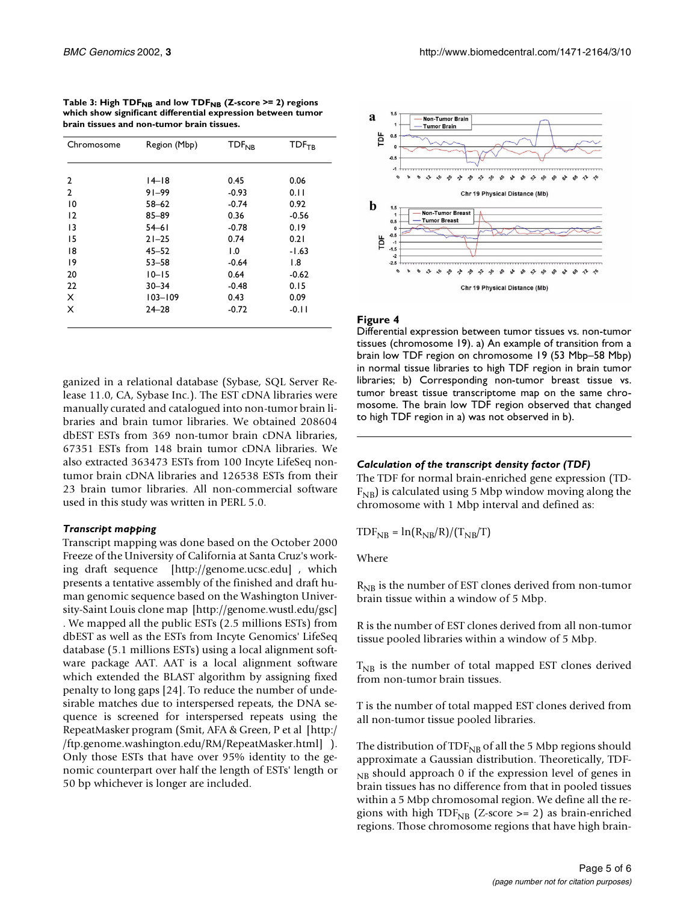| Chromosome      | Region (Mbp) | <b>TDF<sub>NB</sub></b> | TDF <sub>TB</sub> |
|-----------------|--------------|-------------------------|-------------------|
|                 |              |                         |                   |
| 2               | $14 - 18$    | 0.45                    | 0.06              |
| 2               | $91 - 99$    | $-0.93$                 | 0.11              |
| $\overline{0}$  | $58 - 62$    | $-0.74$                 | 0.92              |
| 12              | $85 - 89$    | 0.36                    | $-0.56$           |
| $\overline{13}$ | $54 - 61$    | $-0.78$                 | 0.19              |
| 15              | $21 - 25$    | 0.74                    | 0.21              |
| 18              | $45 - 52$    | 1.0                     | $-1.63$           |
| 19              | $53 - 58$    | $-0.64$                 | $\overline{1.8}$  |
| 20              | $10 - 15$    | 0.64                    | $-0.62$           |
| 22              | $30 - 34$    | $-0.48$                 | 0.15              |
| X               | $103 - 109$  | 0.43                    | 0.09              |
| X               | $24 - 28$    | $-0.72$                 | $-0.11$           |
|                 |              |                         |                   |

Table 3: High TDF<sub>NB</sub> and low TDF<sub>NB</sub> (Z-score >= 2) regions **which show significant differential expression between tumor brain tissues and non-tumor brain tissues.**

[ganized in a relational database \(Sybase, SQL Server Re](ftp://ncbi.nlm.nih.gov)lease 11.0, CA, Sybase Inc.). The EST cDNA libraries were manually curated and catalogued into non-tumor brain libraries and brain tumor libraries. We obtained 208604 dbEST ESTs from 369 non-tumor brain cDNA libraries, 67351 ESTs from 148 brain tumor cDNA libraries. We also extracted 363473 ESTs from 100 Incyte LifeSeq nontumor brain cDNA libraries and 126538 ESTs from their 23 brain tumor libraries. All non-commercial software used in this study was written in PERL 5.0.

## *Transcript mapping*

[Transcript mapping was done based on the October 2000](http://genome.ucsc.edu) Freeze of the University of California at Santa Cruz's working draft sequence [http://genome.ucsc.edu] , which presents a tentative assembly of the finished and draft human genomic sequence based on the Washington Univer[sity-Saint Louis clone map \[](http://genome.ucsc.edu)[http://genome.wustl.edu/gsc\]](http://genome.wustl.edu/gsc) [. We mapped all the public ESTs \(2.5 millions ESTs\) from](http://genome.wustl.edu/gsc) dbEST as well as the ESTs from Incyte Genomics' LifeSeq database (5.1 millions ESTs) using a local alignment software package AAT. AAT is a local alignment software which extended the BLAST algorithm by assigning fixed penalty to long gaps [24]. To reduce the number of undesirable matches due to interspersed repeats, the DNA sequence is screened for interspersed repeats using the [RepeatMasker program \(Smit, AFA & Green, P et al \[](http://genome.wustl.edu/gsc)[http:/](http://ftp.genome.washington.edu/RM/RepeatMasker.html) /ftp.genome.washington.edu/RM/RepeatMasker.html] ). Only those ESTs that have over 95% identity to the ge[nomic counterpart over half the length of ESTs' length or](http://ftp.genome.washington.edu/RM/RepeatMasker.html) 50 bp whichever is longer are included.



#### **Figure 4**

Differential expression between tumor tissues vs. non-tumor tissues (chromosome 19). a) An example of transition from a brain low TDF region on chromosome 19 (53 Mbp–58 Mbp) in normal tissue libraries to high TDF region in brain tumor libraries; b) Corresponding non-tumor breast tissue vs. tumor breast tissue transcriptome map on the same chromosome. The brain low TDF region observed that changed to high TDF region in a) was not observed in b).

#### *Calculation of the transcript density factor (TDF)*

The TDF for normal brain-enriched gene expression (TD- $F_{NR}$ ) is calculated using 5 Mbp window moving along the chromosome with 1 Mbp interval and defined as:

 $TDF_{NB} = ln(R_{NB}/R)/(T_{NB}/T)$ 

Where

 $R_{NR}$  is the number of EST clones derived from non-tumor brain tissue within a window of 5 Mbp.

R is the number of EST clones derived from all non-tumor tissue pooled libraries within a window of 5 Mbp.

 $T_{\text{NR}}$  is the number of total mapped EST clones derived from non-tumor brain tissues.

T is the number of total mapped EST clones derived from all non-tumor tissue pooled libraries.

The distribution of  $TDF_{NB}$  of all the 5 Mbp regions should approximate a Gaussian distribution. Theoretically, TDF- $_{\text{NR}}$  should approach 0 if the expression level of genes in brain tissues has no difference from that in pooled tissues within a 5 Mbp chromosomal region. We define all the regions with high TDF<sub>NB</sub> (Z-score >= 2) as brain-enriched regions. Those chromosome regions that have high brain-